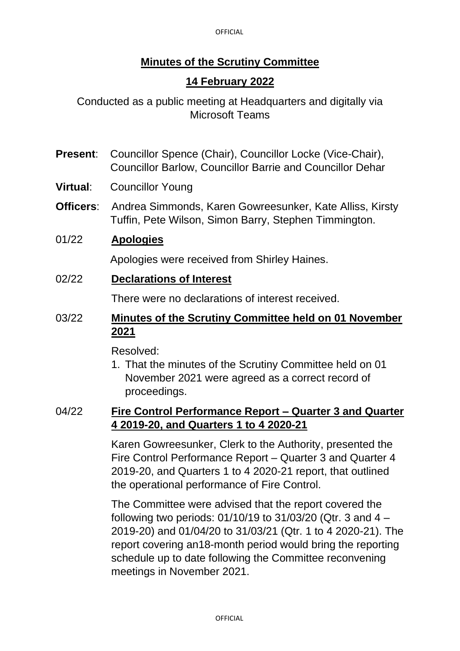## **Minutes of the Scrutiny Committee**

## **14 February 2022**

Conducted as a public meeting at Headquarters and digitally via Microsoft Teams

- **Present**: Councillor Spence (Chair), Councillor Locke (Vice-Chair), Councillor Barlow, Councillor Barrie and Councillor Dehar
- **Virtual**: Councillor Young
- **Officers**: Andrea Simmonds, Karen Gowreesunker, Kate Alliss, Kirsty Tuffin, Pete Wilson, Simon Barry, Stephen Timmington.

#### 01/22 **Apologies**

Apologies were received from Shirley Haines.

02/22 **Declarations of Interest**

There were no declarations of interest received.

### 03/22 **Minutes of the Scrutiny Committee held on 01 November 2021**

Resolved:

1. That the minutes of the Scrutiny Committee held on 01 November 2021 were agreed as a correct record of proceedings.

#### 04/22 **Fire Control Performance Report – Quarter 3 and Quarter 4 2019-20, and Quarters 1 to 4 2020-21**

Karen Gowreesunker, Clerk to the Authority, presented the Fire Control Performance Report – Quarter 3 and Quarter 4 2019-20, and Quarters 1 to 4 2020-21 report, that outlined the operational performance of Fire Control.

The Committee were advised that the report covered the following two periods: 01/10/19 to 31/03/20 (Qtr. 3 and 4 – 2019-20) and 01/04/20 to 31/03/21 (Qtr. 1 to 4 2020-21). The report covering an18-month period would bring the reporting schedule up to date following the Committee reconvening meetings in November 2021.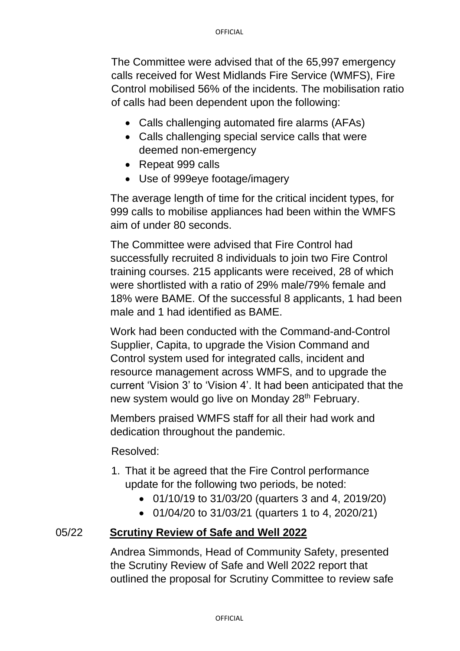The Committee were advised that of the 65,997 emergency calls received for West Midlands Fire Service (WMFS), Fire Control mobilised 56% of the incidents. The mobilisation ratio of calls had been dependent upon the following:

- Calls challenging automated fire alarms (AFAs)
- Calls challenging special service calls that were deemed non-emergency
- Repeat 999 calls
- Use of 999eye footage/imagery

The average length of time for the critical incident types, for 999 calls to mobilise appliances had been within the WMFS aim of under 80 seconds.

The Committee were advised that Fire Control had successfully recruited 8 individuals to join two Fire Control training courses. 215 applicants were received, 28 of which were shortlisted with a ratio of 29% male/79% female and 18% were BAME. Of the successful 8 applicants, 1 had been male and 1 had identified as BAME.

Work had been conducted with the Command-and-Control Supplier, Capita, to upgrade the Vision Command and Control system used for integrated calls, incident and resource management across WMFS, and to upgrade the current 'Vision 3' to 'Vision 4'. It had been anticipated that the new system would go live on Monday 28<sup>th</sup> February.

Members praised WMFS staff for all their had work and dedication throughout the pandemic.

Resolved:

- 1. That it be agreed that the Fire Control performance update for the following two periods, be noted:
	- 01/10/19 to 31/03/20 (quarters 3 and 4, 2019/20)
	- 01/04/20 to 31/03/21 (quarters 1 to 4, 2020/21)

#### 05/22 **Scrutiny Review of Safe and Well 2022**

Andrea Simmonds, Head of Community Safety, presented the Scrutiny Review of Safe and Well 2022 report that outlined the proposal for Scrutiny Committee to review safe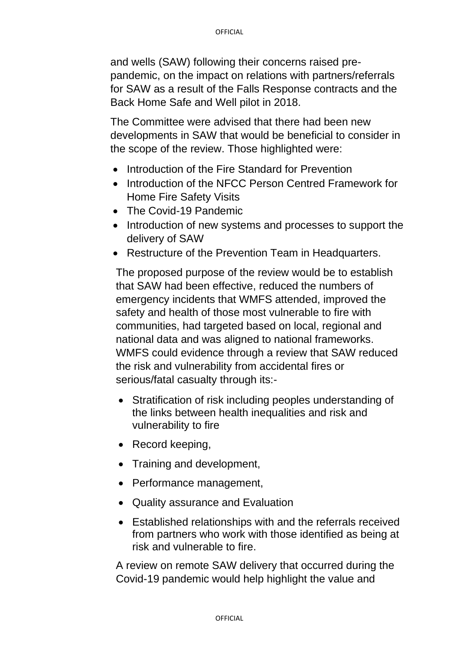and wells (SAW) following their concerns raised prepandemic, on the impact on relations with partners/referrals for SAW as a result of the Falls Response contracts and the Back Home Safe and Well pilot in 2018.

The Committee were advised that there had been new developments in SAW that would be beneficial to consider in the scope of the review. Those highlighted were:

- Introduction of the Fire Standard for Prevention
- Introduction of the NFCC Person Centred Framework for Home Fire Safety Visits
- The Covid-19 Pandemic
- Introduction of new systems and processes to support the delivery of SAW
- Restructure of the Prevention Team in Headquarters.

The proposed purpose of the review would be to establish that SAW had been effective, reduced the numbers of emergency incidents that WMFS attended, improved the safety and health of those most vulnerable to fire with communities, had targeted based on local, regional and national data and was aligned to national frameworks. WMFS could evidence through a review that SAW reduced the risk and vulnerability from accidental fires or serious/fatal casualty through its:-

- Stratification of risk including peoples understanding of the links between health inequalities and risk and vulnerability to fire
- Record keeping,
- Training and development,
- Performance management,
- Quality assurance and Evaluation
- Established relationships with and the referrals received from partners who work with those identified as being at risk and vulnerable to fire.

A review on remote SAW delivery that occurred during the Covid-19 pandemic would help highlight the value and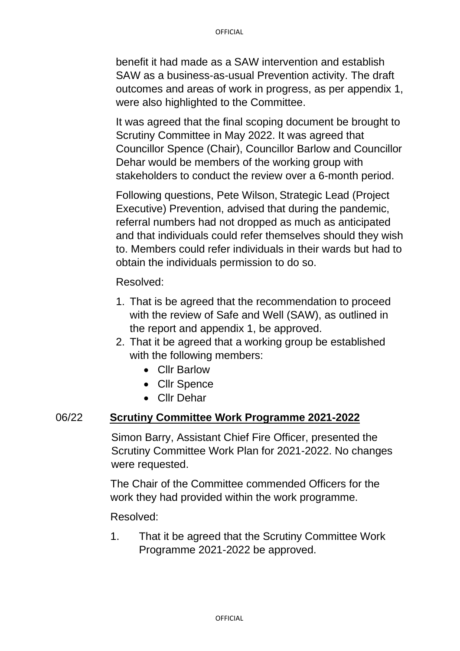benefit it had made as a SAW intervention and establish SAW as a business-as-usual Prevention activity. The draft outcomes and areas of work in progress, as per appendix 1, were also highlighted to the Committee.

It was agreed that the final scoping document be brought to Scrutiny Committee in May 2022. It was agreed that Councillor Spence (Chair), Councillor Barlow and Councillor Dehar would be members of the working group with stakeholders to conduct the review over a 6-month period.

Following questions, Pete Wilson, Strategic Lead (Project Executive) Prevention, advised that during the pandemic, referral numbers had not dropped as much as anticipated and that individuals could refer themselves should they wish to. Members could refer individuals in their wards but had to obtain the individuals permission to do so.

Resolved:

- 1. That is be agreed that the recommendation to proceed with the review of Safe and Well (SAW), as outlined in the report and appendix 1, be approved.
- 2. That it be agreed that a working group be established with the following members:
	- Cllr Barlow
	- Cllr Spence
	- Cllr Dehar

#### 06/22 **Scrutiny Committee Work Programme 2021-2022**

Simon Barry, Assistant Chief Fire Officer, presented the Scrutiny Committee Work Plan for 2021-2022. No changes were requested.

The Chair of the Committee commended Officers for the work they had provided within the work programme.

Resolved:

1. That it be agreed that the Scrutiny Committee Work Programme 2021-2022 be approved.